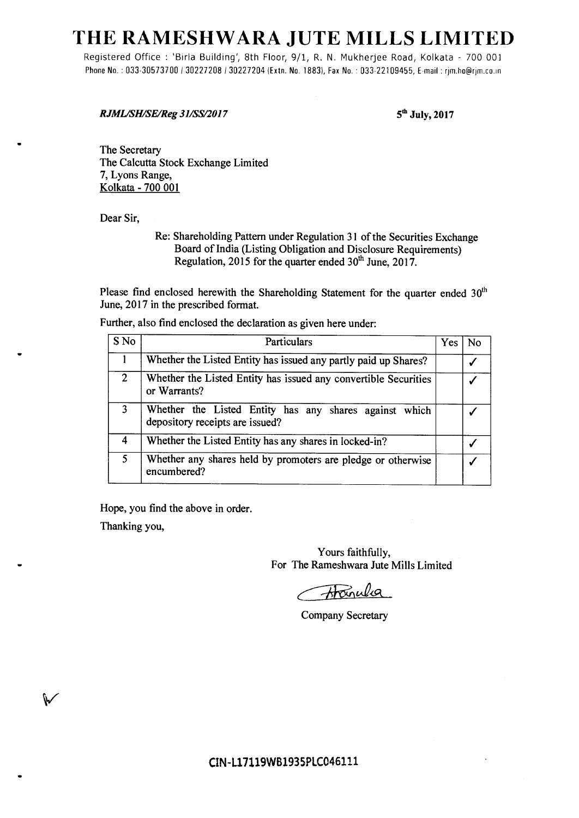# **THE RAMESHWARA JUTE MILLS LIMITED**

Registered Office : 'Birla Building', 8th Floor, 9/1, R. N. Mukherjee Road, Kolkata - 700 001 Phone No.: 033-30573700 / 30227208 / 30227204 (Extn. No. 1883), Fax No.: 033-22109455, E-mail: rjm.ho@rjm.co.in

*RJML/SH/SE/Reg 31/SS/2017 5***th** *July,* **2017** 

The Secretary The Calcutta Stock Exchange Limited 7, Lyons Range, Kolkata - 700 001

Dear Sir,

Re: Shareholding Pattern under Regulation 31 of the Securities Exchange Board of India (Listing Obligation and Disclosure Requirements) Regulation, 2015 for the quarter ended  $30<sup>th</sup>$  June, 2017.

Please find enclosed herewith the Shareholding Statement for the quarter ended  $30<sup>th</sup>$  June, 2017 in the prescribed format.

Further, also find enclosed the declaration as given here under:

| S No           | Particulars                                                                               | Yes | N٥ |
|----------------|-------------------------------------------------------------------------------------------|-----|----|
|                | Whether the Listed Entity has issued any partly paid up Shares?                           |     |    |
| $\overline{2}$ | Whether the Listed Entity has issued any convertible Securities<br>or Warrants?           |     |    |
|                | Whether the Listed Entity has any shares against which<br>depository receipts are issued? |     |    |
| 4              | Whether the Listed Entity has any shares in locked-in?                                    |     |    |
| 5              | Whether any shares held by promoters are pledge or otherwise<br>encumbered?               |     |    |

Hope, you find the above in order.

Thanking you,

₩

Yours faithfully, For The Rameshwara Jute Mills Limited

Hanula

Company Secretary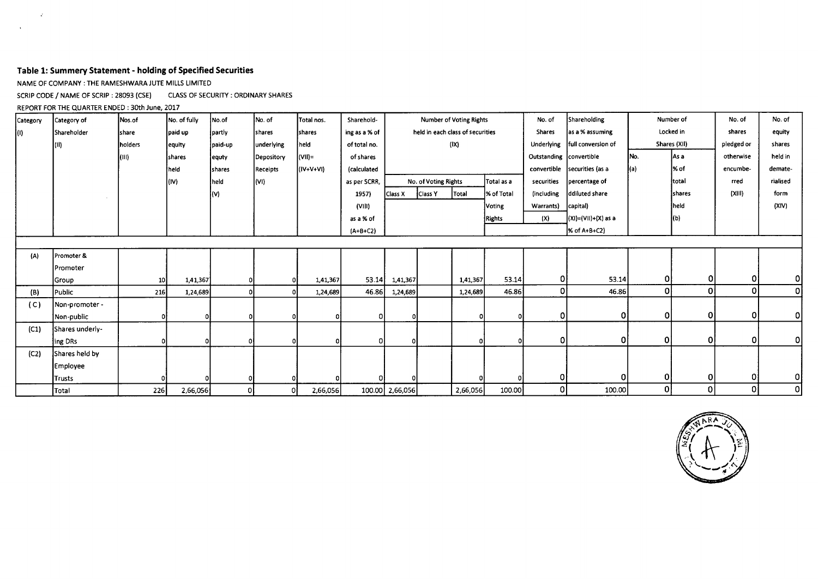## **Table 1: Summery Statement - holding of Specified Securities**

NAME OF COMPANY : THE RAMESHWARA JUTE MILLS LIMITED

SCRIP CODE / NAME OF SCRIP : 28093 (CSE) CLASS OF SECURITY : ORDINARY SHARES

#### REPORT FOR THE QUARTER ENDED : 30th June, 2017

 $\mathcal{L}^{\mathcal{L}}$ 

 $\mathcal{A}^{\mathcal{A}}$ 

| Category | Category of     | Nos.of          | No. of fully  | No.of         | No. of          | Total nos.     | Sharehold-    | Number of Voting Rights |                                  |               | No. of     | Shareholding            |                        | Number of | No. of       | No. of     |          |
|----------|-----------------|-----------------|---------------|---------------|-----------------|----------------|---------------|-------------------------|----------------------------------|---------------|------------|-------------------------|------------------------|-----------|--------------|------------|----------|
| (I)      | Shareholder     | share           | paid up       | partly        | <b>shares</b>   | <b>Shares</b>  | ing as a % of |                         | held in each class of securities |               |            | <b>Shares</b>           | as a % assuming        |           | Locked in    | shares     | equity   |
|          | l(II)           | holders         | lequity       | paid-up       | underlying      | held:          | of total no.  |                         |                                  | $( X\rangle)$ |            | <b>Underlying</b>       | full conversion of     |           | Shares (XII) | pledged or | shares   |
|          |                 | (III)           | <b>shares</b> | equty         | Depository      | $ V  =$        | of shares     |                         |                                  |               |            | Outstanding convertible |                        | INo.      | lAs a        | otherwise  | held in  |
|          |                 |                 | held          | <b>shares</b> | <b>Receipts</b> | $(IV+V+V)$     | (calculated   |                         |                                  |               |            | convertible             | securities (as a       |           | l% of        | encumbe-   | demate-  |
|          |                 |                 | (IV)          | held          | l(VI)           |                | as per SCRR,  |                         | No. of Voting Rights             |               | Total as a | securities              | percentage of          |           | total        | rred       | rialised |
|          |                 |                 |               |               |                 |                | 1957)         | Class X                 | Class Y<br>Total<br>% of Total   |               |            | <i>(including</i>       | ddiluted share         |           | shares       | (XIII)     | form     |
|          |                 |                 |               |               |                 |                | (VIII)        |                         | Voting                           |               |            | Warrants)               | capital)               |           | held         |            | (XIV)    |
|          |                 |                 |               |               |                 |                | as a % of     |                         |                                  |               | Rights     | (X)                     | $ (X1)=(V11)+(X)$ as a |           | (b)          |            |          |
|          |                 |                 |               |               |                 |                | $(A+B+C2)$    |                         |                                  |               |            |                         | % of A+B+C2)           |           |              |            |          |
|          |                 |                 |               |               |                 |                |               |                         |                                  |               |            |                         |                        |           |              |            |          |
| (A)      | Promoter &      |                 |               |               |                 |                |               |                         |                                  |               |            |                         |                        |           |              |            |          |
|          | Promoter        |                 |               |               |                 |                |               |                         |                                  |               |            |                         |                        |           |              |            |          |
|          | <b>Group</b>    | 10 <sup>1</sup> | 1,41,367      | $\Omega$      |                 | οI<br>1,41,367 | 53.14         | 1,41,367                |                                  | 1,41,367      | 53.14      | οl                      | 53.14                  | 01        | 0            | 0          | $\Omega$ |
| (B)      | Public          | 216             | 1,24,689      | $\Omega$      | $\mathbf{0}$    | 1,24,689       | 46.86         | 1,24,689                |                                  | 1,24,689      | 46.86      | Οl                      | 46.86                  | ٥I        | $\mathbf 0$  | $\Omega$   | 0        |
| (C)      | Non-promoter -  |                 |               |               |                 |                |               |                         |                                  |               |            |                         |                        |           |              |            |          |
|          | Non-public      |                 |               |               |                 | οI             |               |                         |                                  | ΩI            |            | 0                       | $\Omega$               | ٥I        | $\Omega$     | 0l         | 0        |
| (C1)     | Shares underly- |                 |               |               |                 |                |               |                         |                                  |               |            |                         |                        |           |              |            |          |
|          | ing DRs         |                 |               |               | οl              |                |               |                         |                                  | οl            |            | 0                       | O.                     | Οl        | $\Omega$     | $\Omega$   | 0        |
| (C2)     | Shares held by  |                 |               |               |                 |                |               |                         |                                  |               |            |                         |                        |           |              |            |          |
|          | Employee        |                 |               |               |                 |                |               |                         |                                  |               |            |                         |                        |           |              |            |          |
|          | <b>Trusts</b>   |                 |               |               |                 |                |               |                         |                                  |               |            | 0                       |                        | 0         | 0            | 0          | οI       |
|          | Total           | 226             | 2,66,056      | οI            | οI              | 2,66,056       |               | 100.00 2,66,056         |                                  | 2,66,056      | 100.00     | οI                      | 100.00                 | ٥I        | $\mathbf{0}$ | οI         | $\Omega$ |

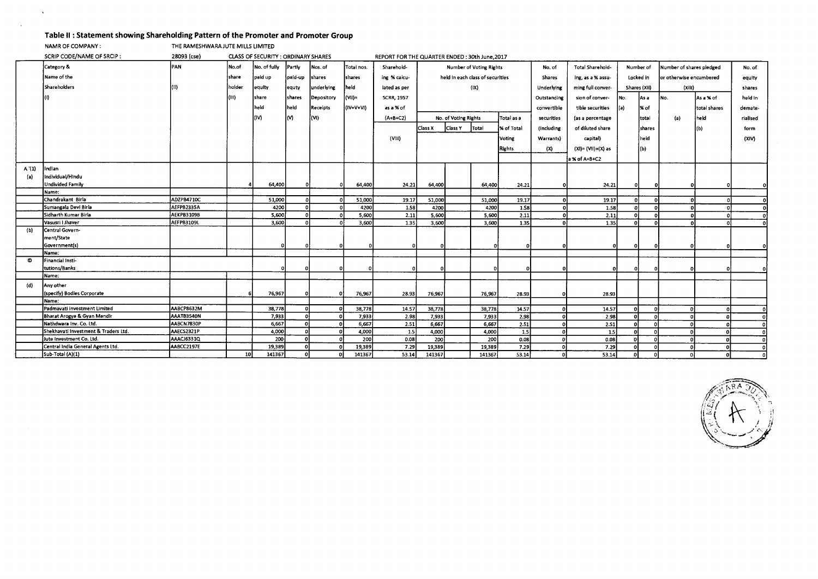#### **Table II : Statement showing Shareholding Pattern of the Promoter and Promoter Group**

NAMR OF COMPANY : THE RAMESHWARA JUTE MILLS LIMITED

 $\Delta$ 

|       | SCRIP CODE/NAME OF SRCIP:             | 28093 (cse)       |        | CLASS OF SECURITY : ORDINARY SHARES |                |            |             | REPORT FOR THE QUARTER ENDED: 30th June, 2017 |                                |                                           |                                  |                       |                  |                   |           |              |                          |           |              |
|-------|---------------------------------------|-------------------|--------|-------------------------------------|----------------|------------|-------------|-----------------------------------------------|--------------------------------|-------------------------------------------|----------------------------------|-----------------------|------------------|-------------------|-----------|--------------|--------------------------|-----------|--------------|
|       | Category &                            | PAN               | No.of  | No. of fully                        | Partly         | Nos. of    | Total nos.  | Sharehold-                                    | <b>Number of Voting Rights</b> |                                           |                                  |                       | No. of           | Total Sharehold-  | Number of |              | Number of shares pledged |           | No. of       |
|       | Name of the                           |                   | share  | paid up                             | paid-up        | shares     | shares      | ing % calcu-                                  |                                |                                           | held in each class of securities |                       | Shares           | ing, as a % assu- | Locked in |              | or otherwise encumbered  |           | equity       |
|       | Shareholders                          |                   | holder | equity                              |                | underlying | held        | lated as per                                  |                                |                                           | (IX)                             |                       |                  | ming full conver- |           | Shares (XII) | (XIII)                   |           |              |
|       |                                       |                   |        |                                     | equty          |            |             |                                               |                                |                                           |                                  |                       | Underlying       |                   |           |              |                          |           | shares       |
|       |                                       |                   | (111)  | share                               | <b>Ishares</b> | Depository | (VII)=      | <b>SCRR, 1957</b>                             |                                |                                           |                                  |                       | Outstanding      | sion of conver-   | No.       | lAs a        | No.                      | As a % of | held in      |
|       |                                       |                   |        | held                                | held           | Receipts   | $(IV+V+VI)$ | as a % of                                     |                                |                                           | convertible                      | tible securities      | (a)              | % of              |           | total shares | demate-                  |           |              |
|       |                                       |                   |        | (IV)                                | lM.            | (VI)       |             | $(A+B+C2)$                                    |                                | Total as a<br>No. of Voting Rights        |                                  | securities            | (as a percentage |                   | total     | (a)          | held                     | rialised  |              |
|       |                                       |                   |        |                                     |                |            |             |                                               |                                | Class X<br>Class Y<br>Total<br>% of Total |                                  | (including            | of diluted share |                   | shares    |              | (b)                      | form      |              |
|       |                                       |                   |        |                                     |                |            |             |                                               |                                |                                           |                                  |                       |                  |                   |           |              |                          |           |              |
|       |                                       |                   |        |                                     |                |            |             | (VIII)                                        | Voting                         |                                           | Warrants)                        | capital)              |                  | held              |           |              | (XIV)                    |           |              |
|       |                                       |                   |        |                                     |                |            |             |                                               | Rights                         |                                           | (X)                              | $(XI) = (VII)+(X)$ as |                  | (Ь)               |           |              |                          |           |              |
|       |                                       |                   |        |                                     |                |            |             |                                               |                                |                                           |                                  |                       |                  | a % of A+B+C2     |           |              |                          |           |              |
| A'(1) | Indian                                |                   |        |                                     |                |            |             |                                               |                                |                                           |                                  |                       |                  |                   |           |              |                          |           |              |
| (a)   | Individual/Hindu                      |                   |        |                                     |                |            |             |                                               |                                |                                           |                                  |                       |                  |                   |           |              |                          |           |              |
|       | Undivided Family                      |                   |        | 64,400                              |                |            | 64,400      | 24.21                                         | 64,400                         |                                           | 64,400                           | 24.21                 | ΩI               | 24.21             |           | $\mathbf{0}$ |                          |           |              |
|       | Name:                                 |                   |        |                                     |                |            |             |                                               |                                |                                           |                                  |                       |                  |                   |           |              |                          |           |              |
|       | Chandrakant Birla                     | ADZPB4710C        |        | 51,000                              | $\sim$         |            | 51,000      | 19.17                                         | 51,000                         |                                           | 51,000                           | 19.17                 |                  | 19.17             | n.        |              | n                        |           | $\Omega$     |
|       | Sumangala Devi Birla                  | AEFPB2335A        |        | 4200                                | n              |            | 4200        | 1.58                                          | 4200                           |                                           | 4200                             | 1.58                  |                  | 1.58              | ച         |              |                          |           | $\mathbf{0}$ |
|       | Sidharth Kumar Birla                  | <b>AEKPB3109B</b> |        | 5,600                               |                |            | 5,600       | 2.11                                          | 5,600                          |                                           | 5,600                            | 2.11                  |                  | 2.11              | D.        |              |                          |           | $\mathbf{0}$ |
|       | Vasusri I Jhaver                      | AEFPB3109L        |        | 3,600                               |                |            | 3,600       | 1.35                                          | 3,600                          |                                           | 3,600                            | 1.35                  |                  | 1.35              | -ni       |              |                          |           |              |
| (b)   | Central Govern-                       |                   |        |                                     |                |            |             |                                               |                                |                                           |                                  |                       |                  |                   |           |              |                          |           |              |
|       | ment/State                            |                   |        |                                     |                |            |             |                                               |                                |                                           |                                  |                       |                  |                   |           |              |                          |           |              |
|       | Government(s)                         |                   |        |                                     |                |            |             |                                               |                                |                                           |                                  | o                     |                  |                   | $\Omega$  |              |                          |           |              |
|       | Name:<br>Financial Insti-             |                   |        |                                     |                |            |             |                                               |                                |                                           |                                  |                       |                  |                   |           |              |                          |           |              |
|       | tutions/Banks                         |                   |        |                                     |                |            |             |                                               |                                |                                           |                                  |                       |                  |                   |           |              |                          |           |              |
|       | Name:                                 |                   |        |                                     |                |            |             |                                               |                                |                                           |                                  |                       |                  |                   |           |              |                          |           |              |
|       |                                       |                   |        |                                     |                |            |             |                                               |                                |                                           |                                  |                       |                  |                   |           |              |                          |           |              |
| (d)   | Any other                             |                   |        |                                     |                |            |             |                                               |                                |                                           |                                  |                       |                  |                   |           |              |                          |           |              |
|       | (specify) Bodies Corporate            |                   |        | 76,967                              |                |            | 76,967      | 28.93                                         | 76,967                         |                                           | 76,967                           | 28.93                 |                  | 28.93             |           |              |                          |           |              |
|       | Name:<br>Padmavati investment Limited | AABCP8632M        |        | 38,778                              | n              |            | 38,778      | 14.57                                         | 38,778                         |                                           | 38,778                           | 14.57                 |                  | 14.57             |           |              | n.                       |           |              |
|       | Bharat Arogya & Gyan Mandir           | AAATB3540N        |        | 7,933                               | n              |            | 7,933       | 2.98                                          | 7,933                          |                                           | 7,933                            | 2.98                  |                  | 2.98              | $\Omega$  |              |                          |           | ΩI<br>οl     |
|       | Nathdwara Inv. Co. Ltd.               | AABCN7830P        |        | 6,667                               | n.             |            | 6,667       | 2.51                                          | 6,667                          |                                           | 6,667                            | 2.51                  | $\Omega$         | 2.51              | $\Omega$  | $\Omega$     |                          |           | - O I        |
|       | Shekhavati Investment & Traders Ltd.  | AAECS2321P        |        | 4,000                               | n              |            | 4,000       | 1.5                                           | 4,000                          |                                           | 4,000                            | 1.5                   | $\Omega$         | 1.5               |           |              |                          |           | ΩI           |
|       | Jute Investment Co. Ltd.              | AAACJ6331Q        |        | 200                                 |                |            | 200         | 0.08                                          | 200                            |                                           | 200                              | 0.08                  | $\Omega$         | 0.08              | $\Omega$  |              |                          |           | $\Omega$     |
|       | Central India General Agents Ltd.     | AABCC2197E        |        | 19,389                              |                |            | 19,389      | 7.29                                          | 19,389                         |                                           | 19,389                           | 7.29                  | . Oi             | 7.29              |           | $\Omega$     |                          |           | ി            |
|       | Sub-Total (A)(1)                      |                   | 10     | 141367                              | n.             |            | 141367      | 53.14                                         | 141367                         |                                           | 141367                           | 53.14                 | n.               | 53.14             | ΩI        | D.           | οl                       |           | ΩI           |

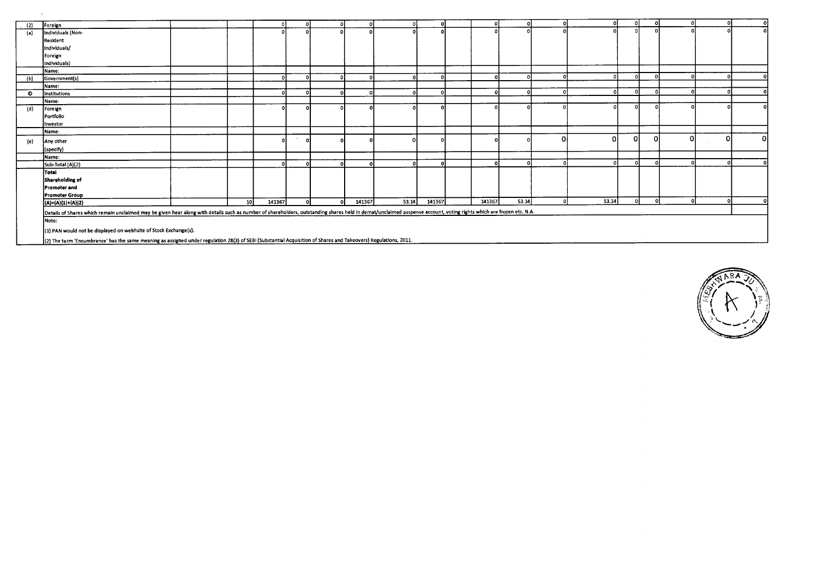| (2) | Foreign                                                                                                                                                                                                             |                 |                   |        |          |        |       |        |        |       |        |       |   |   |          |  |
|-----|---------------------------------------------------------------------------------------------------------------------------------------------------------------------------------------------------------------------|-----------------|-------------------|--------|----------|--------|-------|--------|--------|-------|--------|-------|---|---|----------|--|
| (a) | Individuals (Non-                                                                                                                                                                                                   |                 |                   |        |          |        |       |        |        |       |        |       |   |   |          |  |
|     | Resident                                                                                                                                                                                                            |                 |                   |        |          |        |       |        |        |       |        |       |   |   |          |  |
|     | Individuals/                                                                                                                                                                                                        |                 |                   |        |          |        |       |        |        |       |        |       |   |   |          |  |
|     | Foreign                                                                                                                                                                                                             |                 |                   |        |          |        |       |        |        |       |        |       |   |   |          |  |
|     | Individuals)                                                                                                                                                                                                        |                 |                   |        |          |        |       |        |        |       |        |       |   |   |          |  |
|     | Mame:                                                                                                                                                                                                               |                 |                   |        |          |        |       |        |        |       |        |       |   |   |          |  |
| (b) | Government(s)                                                                                                                                                                                                       |                 |                   |        |          |        |       |        |        |       |        |       |   |   |          |  |
|     | Name:                                                                                                                                                                                                               |                 |                   |        |          |        |       |        |        |       |        |       |   |   |          |  |
| O   | Institutions                                                                                                                                                                                                        |                 |                   |        |          |        |       |        |        |       |        |       |   |   |          |  |
|     | Name:                                                                                                                                                                                                               |                 |                   |        |          |        |       |        |        |       |        |       |   |   |          |  |
| (d) | Foreign                                                                                                                                                                                                             |                 |                   |        |          |        |       |        |        |       |        |       |   |   |          |  |
|     | Portfolio                                                                                                                                                                                                           |                 |                   |        |          |        |       |        |        |       |        |       |   |   |          |  |
|     | Investor                                                                                                                                                                                                            |                 |                   |        |          |        |       |        |        |       |        |       |   |   |          |  |
|     | Name:                                                                                                                                                                                                               |                 |                   |        |          |        |       |        |        |       |        |       |   |   |          |  |
| (e) | Any other                                                                                                                                                                                                           |                 |                   | $\sim$ |          |        |       |        |        |       | 0      |       | 0 | 0 | ΩI       |  |
|     | (specify)                                                                                                                                                                                                           |                 |                   |        |          |        |       |        |        |       |        |       |   |   |          |  |
|     | Name:                                                                                                                                                                                                               |                 |                   |        |          |        |       |        |        |       |        |       |   |   |          |  |
|     | Sub-Total (A)(2)                                                                                                                                                                                                    |                 | $\mathbf{\Omega}$ |        |          |        |       |        |        |       |        |       |   |   |          |  |
|     | Total                                                                                                                                                                                                               |                 |                   |        |          |        |       |        |        |       |        |       |   |   |          |  |
|     | Shareholding of                                                                                                                                                                                                     |                 |                   |        |          |        |       |        |        |       |        |       |   |   |          |  |
|     | Promoter and                                                                                                                                                                                                        |                 |                   |        |          |        |       |        |        |       |        |       |   |   |          |  |
|     | Promoter Group                                                                                                                                                                                                      |                 |                   |        |          |        |       |        |        |       |        |       |   |   |          |  |
|     | $(A)=(A)(1)+(A)(2)$                                                                                                                                                                                                 | 10 <sup>1</sup> | 141367            |        | $\Omega$ | 141367 | 53.14 | 141367 | 141367 | 53.14 | $\sim$ | 53.14 |   |   | $\Omega$ |  |
|     | Details of Shares which remain unclaimed may be given hear along with details such as number of shareholders, outstanding shares held in demat/unclaimed suspense account, voting rights which are frozen etc. N.A. |                 |                   |        |          |        |       |        |        |       |        |       |   |   |          |  |
|     | Note:                                                                                                                                                                                                               |                 |                   |        |          |        |       |        |        |       |        |       |   |   |          |  |
|     | (1) PAN would not be displayed on webhsite of Stock Exchange(s).                                                                                                                                                    |                 |                   |        |          |        |       |        |        |       |        |       |   |   |          |  |
|     | (2) The term 'Encumbrance' has the same meaning as assigned under regulation 28(3) of SEBI (Substantial Acquisition of Shares and Takeovers) Regulations, 2011.                                                     |                 |                   |        |          |        |       |        |        |       |        |       |   |   |          |  |

 $\sim$   $\sim$ 

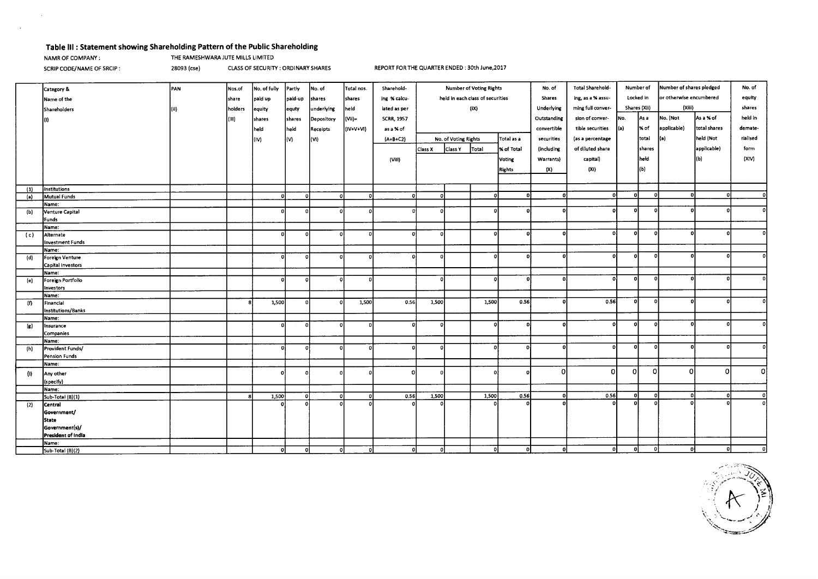# **Table Ill : Statement showing Shareholding Pattern of the Public Shareholding**

 $\sim$ 

**NAMR OF COMPANY :** THE RAMESHWARA JUTE MILLS LIMITED

SCRIP CODE/NAME OF SRCIP : 28093 (cse) CLASS OF SECURITY : ORDINARY SHARES REPORT FOR THE QUARTER ENDED : 30th June,2017

|     | Category &              | PAN)  | Nos.of  | No. of fully | Partly      | No. of     | Total nos. | Sharehold-        | <b>Number of Voting Rights</b>   |                      | No. of | Total Sharehold-<br>Number of |                                |                  | Number of shares pledged |              | No. of       |             |              |
|-----|-------------------------|-------|---------|--------------|-------------|------------|------------|-------------------|----------------------------------|----------------------|--------|-------------------------------|--------------------------------|------------------|--------------------------|--------------|--------------|-------------|--------------|
|     | Name of the             |       | share   | paid up      | paid-up     | shares     | shares     | ing % calcu-      | held in each class of securities |                      | Shares |                               | ing, as a % assu-<br>Locked in |                  | or otherwise encumbered  |              | equity       |             |              |
|     | Shareholders            | l(ii) | holders |              |             | underlying | held       | lated as per      | (iX)                             |                      |        | Underlying                    | ming full conver-              | Shares (Xii)     |                          | (Xiii)       |              | shares      |              |
|     |                         |       |         | equity       | equty       |            |            |                   |                                  |                      |        |                               |                                |                  |                          |              |              | held in     |              |
|     |                         |       | (III)   | shares       | shares      | Depository | (Vii)=     | <b>SCRR, 1957</b> |                                  |                      |        | Outstanding                   | sion of conver-                | INo.             | As a                     | No. (Not     | As a % of    |             |              |
|     |                         |       |         | held         | held        | Receipts   | (IV+V+VI)  | as a % of         |                                  |                      |        | convertible                   | tible securities               | (a)              | % of                     | applicable)  | total shares | demate-     |              |
|     |                         |       |         | l(IV)        | lM.         | (VI)       |            | $(A+B+C2)$        |                                  | No. of Voting Rights |        | Total as a                    | securities                     | (as a percentage |                          | total        | (a)          | held (Not   | rialised     |
|     |                         |       |         |              |             |            |            |                   | Class X                          | Class Y              | Total  | % of Total                    | (including                     | of diluted share |                          | shares       |              | applicable) | form         |
|     |                         |       |         |              |             |            |            | (ViII)            |                                  |                      |        | Voting                        | Warrants)                      | capital)         |                          | held         |              | (b)         | (XIV)        |
|     |                         |       |         |              |             |            |            |                   |                                  |                      |        |                               |                                |                  |                          |              |              |             |              |
|     |                         |       |         |              |             |            |            |                   |                                  |                      |        | <b>Rights</b>                 | (X)                            | (XI)             |                          | (b)          |              |             |              |
|     |                         |       |         |              |             |            |            |                   |                                  |                      |        |                               |                                |                  |                          |              |              |             |              |
| (1) | Institutions            |       |         |              |             |            |            |                   |                                  |                      |        |                               |                                |                  |                          |              |              |             |              |
| (a) | Mutual Funds            |       |         |              | n           |            |            | $\Omega$          | n.                               |                      |        | $\Omega$                      | D.                             | ol               | ol                       | $\Omega$     | $\mathbf{a}$ |             | n            |
|     | Name:                   |       |         |              |             |            |            |                   |                                  |                      |        |                               |                                | n                | $\Omega$                 |              |              |             |              |
| (b) | Venture Capital         |       |         | Đ            | n           | $\Omega$   |            |                   | D.                               |                      |        |                               | n                              |                  |                          |              |              |             |              |
|     | Funds                   |       |         |              |             |            |            |                   |                                  |                      |        |                               |                                |                  |                          |              |              |             |              |
|     | Name:<br>Alternate      |       |         |              | $\Omega$    | O          |            |                   | o                                |                      | n      | n                             | o                              | Ωi               | o                        | $\Omega$     |              |             |              |
| (c) | <b>Investment Funds</b> |       |         |              |             |            |            |                   |                                  |                      |        |                               |                                |                  |                          |              |              |             |              |
|     | Name:                   |       |         |              |             |            |            |                   |                                  |                      |        |                               |                                |                  |                          |              |              |             |              |
| (d) | Foreign Venture         |       |         |              | n           | ΩÍ         |            |                   | D.                               |                      |        | $\Omega$                      | o                              | ol               | o                        | $\Omega$     |              |             |              |
|     | Capital Investors       |       |         |              |             |            |            |                   |                                  |                      |        |                               |                                |                  |                          |              |              |             |              |
|     | Name:                   |       |         |              |             |            |            |                   |                                  |                      |        |                               |                                |                  |                          |              |              |             |              |
| (e) | Foreign Portfolio       |       |         |              |             | n          |            |                   | o                                |                      |        |                               | D.                             | Ωl               | $\Omega$                 | $\Omega$     |              |             |              |
|     | Investors               |       |         |              |             |            |            |                   |                                  |                      |        |                               |                                |                  |                          |              |              |             |              |
|     | Name:                   |       |         |              |             |            |            |                   |                                  |                      |        |                               |                                |                  |                          |              |              |             |              |
| (f) | Financial               |       |         | 1,500        |             |            | 1,500      | 0.56              | 1,500                            |                      | 1,500  | 0.56                          | n.                             | 0.56             | οI                       | $\mathbf{r}$ | n            |             |              |
|     | Institutions/Banks      |       |         |              |             |            |            |                   |                                  |                      |        |                               |                                |                  |                          |              |              |             |              |
|     | Name:                   |       |         |              |             | Ωİ         |            |                   |                                  |                      |        | n                             |                                | οl               | 0                        | $\Omega$     |              |             |              |
| (g) | Insurance               |       |         |              |             |            |            |                   |                                  |                      |        |                               |                                |                  |                          |              |              |             |              |
|     | Companies<br>Name:      |       |         |              |             |            |            |                   |                                  |                      |        |                               |                                |                  |                          |              |              |             |              |
| (h) | Provident Funds/        |       |         | $\Omega$     | $\mathbf o$ | $\Omega$   |            |                   |                                  |                      | n      |                               | n                              |                  | o                        | $\Omega$     |              |             |              |
|     | Pension Funds           |       |         |              |             |            |            |                   |                                  |                      |        |                               |                                |                  |                          |              |              |             |              |
|     | Name:                   |       |         |              |             |            |            |                   |                                  |                      |        |                               |                                |                  |                          |              |              |             |              |
| (i) | Any other               |       |         |              |             |            |            | n                 |                                  |                      |        |                               | $\Omega$                       | οI               | οl                       | $\Omega$     | $\Omega$     | $\Omega$    | $\Omega$     |
|     | (specify)               |       |         |              |             |            |            |                   |                                  |                      |        |                               |                                |                  |                          |              |              |             |              |
|     | Name:                   |       |         |              |             |            |            |                   |                                  |                      |        |                               |                                |                  |                          |              |              |             |              |
|     | 5ub-Total (B)(1)        |       |         | 1,500        | $\Omega$    | 0          |            | 0.56              | 1,500                            |                      | 1,500  | 0.56                          | ΩI                             | 0.56             | οl                       | οl           | οl           |             | $\mathbf{0}$ |
| (2) | Central                 |       |         |              |             |            |            |                   |                                  |                      |        |                               |                                |                  | n.                       |              |              |             | $\mathbf{0}$ |
|     | Government/             |       |         |              |             |            |            |                   |                                  |                      |        |                               |                                |                  |                          |              |              |             |              |
|     | <b>State</b>            |       |         |              |             |            |            |                   |                                  |                      |        |                               |                                |                  |                          |              |              |             |              |
|     | Government(s)/          |       |         |              |             |            |            |                   |                                  |                      |        |                               |                                |                  |                          |              |              |             |              |
|     | President of India      |       |         |              |             |            |            |                   |                                  |                      |        |                               |                                |                  |                          |              |              |             |              |
|     | Name:                   |       |         |              |             |            |            |                   |                                  |                      |        |                               |                                |                  |                          |              |              |             |              |
|     | Sub-Total (B)(2)        |       |         | οl           | ٥l          |            | οI<br>o    | $\mathbf{o}$      | ol                               |                      | o      | $\Omega$                      | οI                             |                  |                          |              | n            |             | n            |

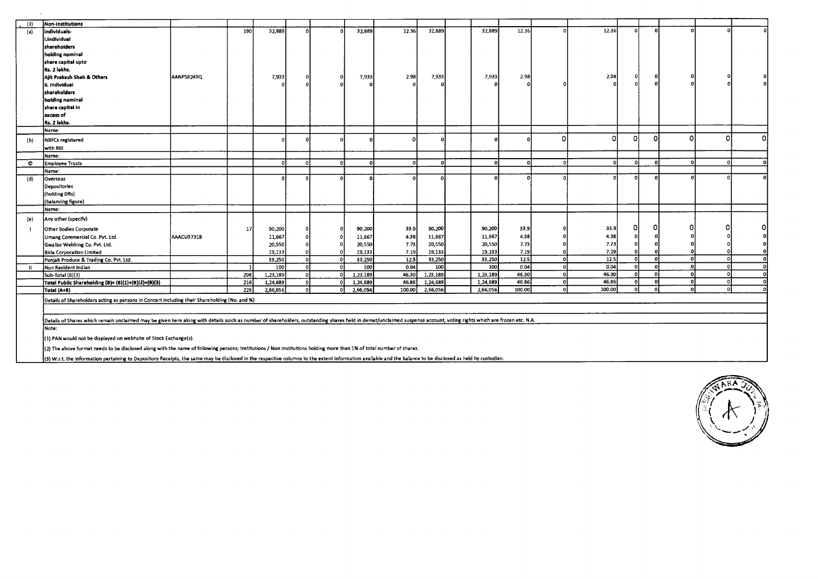| (3)       | Non-institutions                                                                                                                                                                                                     |            |       | 32,889   | f.       |          | 32,889   | 12.36       | 32,889   | 32,889   | 12.36  |              | 12.36  | $\Omega$ | n        |          |              |   |
|-----------|----------------------------------------------------------------------------------------------------------------------------------------------------------------------------------------------------------------------|------------|-------|----------|----------|----------|----------|-------------|----------|----------|--------|--------------|--------|----------|----------|----------|--------------|---|
| (a)       | individuals-                                                                                                                                                                                                         |            | 190 l |          |          |          |          |             |          |          |        |              |        |          |          |          |              |   |
|           | i.individual                                                                                                                                                                                                         |            |       |          |          |          |          |             |          |          |        |              |        |          |          |          |              |   |
|           | sharehoiders                                                                                                                                                                                                         |            |       |          |          |          |          |             |          |          |        |              |        |          |          |          |              |   |
|           | holding nominal                                                                                                                                                                                                      |            |       |          |          |          |          |             |          |          |        |              |        |          |          |          |              |   |
|           | share capital upto                                                                                                                                                                                                   |            |       |          |          |          |          |             |          |          |        |              |        |          |          |          |              |   |
|           | Rs. 2 lakhs.                                                                                                                                                                                                         |            |       |          |          |          |          |             |          |          |        |              |        |          |          |          |              |   |
|           | Ajit Prakash Shah & Others                                                                                                                                                                                           | AANPS8249Q |       | 7,933    |          |          | 7,933    | 2.98        | 7,933    | 7,933    | 2.98   |              | 2.98   |          |          |          |              |   |
|           | ii. Individuai                                                                                                                                                                                                       |            |       |          |          |          |          |             |          |          |        |              |        |          |          |          |              |   |
|           | shareholders                                                                                                                                                                                                         |            |       |          |          |          |          |             |          |          |        |              |        |          |          |          |              |   |
|           | holding nominal                                                                                                                                                                                                      |            |       |          |          |          |          |             |          |          |        |              |        |          |          |          |              |   |
|           | share capital in                                                                                                                                                                                                     |            |       |          |          |          |          |             |          |          |        |              |        |          |          |          |              |   |
|           | excess of                                                                                                                                                                                                            |            |       |          |          |          |          |             |          |          |        |              |        |          |          |          |              |   |
|           | Rs. 2 lakhs.                                                                                                                                                                                                         |            |       |          |          |          |          |             |          |          |        |              |        |          |          |          |              |   |
|           | Name:                                                                                                                                                                                                                |            |       |          |          |          |          |             |          |          |        |              |        |          |          |          |              |   |
| (b)       | <b>NBFCs registered</b>                                                                                                                                                                                              |            |       |          |          |          |          |             |          |          |        | $\Omega$     | ΩI     | Ωł       | n        |          | n            | n |
|           | with RBI                                                                                                                                                                                                             |            |       |          |          |          |          |             |          |          |        |              |        |          |          |          |              |   |
|           | Name:                                                                                                                                                                                                                |            |       |          |          |          |          |             |          |          |        |              |        |          |          |          |              |   |
| $\bullet$ | <b>Employee Trusts</b>                                                                                                                                                                                               |            |       |          | $\Omega$ | $\Omega$ |          | $\Omega$    | $\Omega$ | $\Omega$ | -C     | $\Omega$     |        | ച        | n        |          |              |   |
|           | Name:                                                                                                                                                                                                                |            |       |          |          |          |          |             |          |          |        |              |        |          |          |          |              |   |
| (d)       | Overseas                                                                                                                                                                                                             |            |       |          |          |          |          |             |          |          |        |              |        |          |          |          |              |   |
|           | Depositories                                                                                                                                                                                                         |            |       |          |          |          |          |             |          |          |        |              |        |          |          |          |              |   |
|           | (holding DRs)                                                                                                                                                                                                        |            |       |          |          |          |          |             |          |          |        |              |        |          |          |          |              |   |
|           | (balancing figure)                                                                                                                                                                                                   |            |       |          |          |          |          |             |          |          |        |              |        |          |          |          |              |   |
|           | Name:                                                                                                                                                                                                                |            |       |          |          |          |          |             |          |          |        |              |        |          |          |          |              |   |
| (e)       | Any other (specify)                                                                                                                                                                                                  |            |       |          |          |          |          |             |          |          |        |              |        |          |          |          |              |   |
|           |                                                                                                                                                                                                                      |            |       |          |          |          |          |             |          |          |        |              |        | n        |          |          |              | Ω |
| - 1       | Other Bodies Corporate                                                                                                                                                                                               |            | 17    | 90,200   |          |          | 90,200   | 33.9        | 90,200   | 90,200   | 33.9   |              | 33.9   |          |          |          |              |   |
|           | Umang Commercial Co. Pvt. Ltd.                                                                                                                                                                                       | AAACU3731B |       | 11,667   |          |          | 11,667   | 4.38        | 11,667   | 11,667   | 4.38   |              | 4.38   |          |          |          |              |   |
|           | Gwalior Webbing Co. Pvt. Ltd.                                                                                                                                                                                        |            |       | 20,550   |          |          | 20,550   | 7.73        | 20,550   | 20,550   | 7.73   |              | 7.73   |          |          |          |              |   |
|           | <b>Birla Corporation Limited</b>                                                                                                                                                                                     |            |       | 19,133   |          |          | 19,133   | 7.19        | 19,133   | 19,133   | 7.19   |              | 7.19   |          |          |          |              |   |
|           | Punjab Produce & Trading Co. Pvt. Ltd.                                                                                                                                                                               |            |       | 33,250   | r.       | O.       | 33,250   | <b>12.5</b> | 33,250   | 33,250   | 12.5   | $\Omega$     | 12.5   | ΩI       | ി        | n.       | n            |   |
| -ii       | Non Resident Indian                                                                                                                                                                                                  |            |       | 100      | $\Omega$ | -OI      | 100      | 0.04        | 100      | 100      | 0.04   | $\Omega$     | 0.04   | $\Omega$ | $\Omega$ | $\Omega$ | n            |   |
|           | Sub-Total (B)(3)                                                                                                                                                                                                     |            | 208   | 1,23,189 | $\Omega$ | ΩI       | 1,23,189 | 46.30       | 1,23,189 | 1,23,189 | 46.30  | $\mathbf{0}$ | 46.30  |          |          |          |              |   |
|           | Total Public Sharehoiding (B)= (B)(1)+(B)(2)+(B)(3)                                                                                                                                                                  |            | 216   | 1,24,689 | $\Omega$ | $\sim$   | 1,24,689 | 46.86       | 1,24,689 | 1,24,689 | 46.86  | οI           | 46.86  | Ω        | $\Omega$ | $\Omega$ | n            |   |
|           | Total (A+B)                                                                                                                                                                                                          |            | 226   | 2,66,056 | $\Omega$ |          | 2,66,056 | 100.00      | 2,66,056 | 2,66,056 | 100.00 | $\Omega$     | 100.00 | $\Omega$ | n        | $\Omega$ | $\mathbf{r}$ |   |
|           | Details of Shareholders acting as persons in Concert including their Shareholding (No. and %)                                                                                                                        |            |       |          |          |          |          |             |          |          |        |              |        |          |          |          |              |   |
|           |                                                                                                                                                                                                                      |            |       |          |          |          |          |             |          |          |        |              |        |          |          |          |              |   |
|           | Details of Shares which remain unclaimed may be given here along with details suich as number of shareholders, outstanding shares held in demat/unclaimed suspense account, voting rights which are frozen etc. N.A. |            |       |          |          |          |          |             |          |          |        |              |        |          |          |          |              |   |
|           | Note:                                                                                                                                                                                                                |            |       |          |          |          |          |             |          |          |        |              |        |          |          |          |              |   |
|           | (1) PAN would not be displayed on webhsite of Stock Exchange(s).                                                                                                                                                     |            |       |          |          |          |          |             |          |          |        |              |        |          |          |          |              |   |
|           | (2) The above format needs to be disclosed along with the name of following persons; Institutions / Non Institutions holding more than 1% of total number of shares.                                                 |            |       |          |          |          |          |             |          |          |        |              |        |          |          |          |              |   |
|           |                                                                                                                                                                                                                      |            |       |          |          |          |          |             |          |          |        |              |        |          |          |          |              |   |

(3) W.r.t. the information pertaining to Depository Receipts, the same may be disclosed in the respective columns to the extent information available and the balance to be disclosed as held by custodian.

 $\sim$